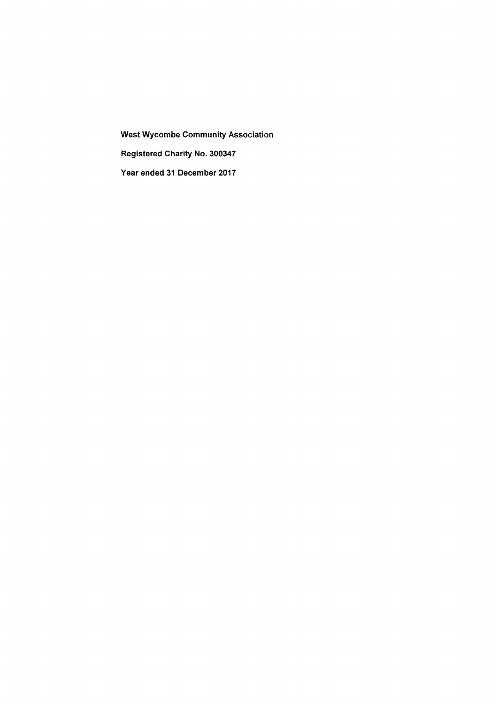West Wycombe Community Association Registered Charity No. 300347 Year ended 31 December 2017

 $\hat{\mathcal{A}}$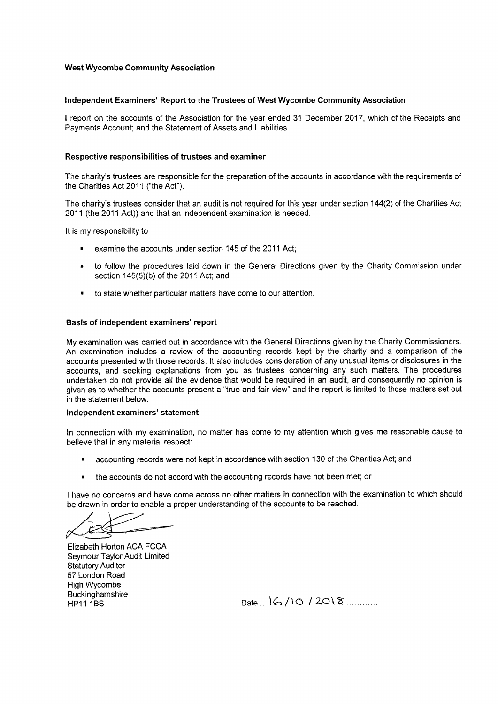### West Wycombe Community Association

# Independent Examiners' Report to the Trustees of West Wycombe Community Association

<sup>I</sup> report on the accounts of the Association for the year ended 31 December 2017, which of the Receipts and Payments Account; and the Statement of Assets and Liabilities.

### Respective responsibilities of trustees and examiner

The charity's trustees are responsible for the preparation of the accounts in accordance with the requirements of the Charities Act 2011 ("the Act"),

The charity's trustees consider that an audit is not required for this year under section 144(2) of the Charities Act 2011 (the 2011 Act)) and that an independent examination is needed.

It is my responsibility to:

- examine the accounts under section 145 of the 2011 Act;
- to follow the procedures laid down in the General Directions given by the Charity Commission under section 145(5)(b) of the 2011 Act; and
- to state whether particular matters have come to our attention.

#### Basis of independent examiners' report

My examination was carried out in accordance with the General Directions given by the Charity Commissioners. An examination includes a review of the accounting records kept by the charity and a comparison of the accounts presented with those records. It also includes consideration of any unusual items or disclosures in the accounts, and seeking explanations from you as trustees concerning any such matters. The procedures undertaken do not provide all the evidence that would be required in an audit, and consequently no opinion is given as to whether the accounts present a "true and fair view" and the report is limited to those matters set out in the statement below.

#### Independent examiners' statement

In connection with my examination, no matter has come to my attention which gives me reasonable cause to believe that in any material respect:

- accounting records were not kept in accordance with section 130 of the Charities Act; and
- the accounts do not accord with the accounting records have not been met; or

<sup>I</sup> have no concerns and have come across no other matters in connection with the examination to which should be drawn in order to enable a proper understanding of the accounts to be reached.

Elizabeth Horton ACA FCCA Seymour Taylor Audit Limited Statutory Auditor 57 London Road High Wycombe **Buckinghamshire** HP11 1BS

Date  $6/10/2018$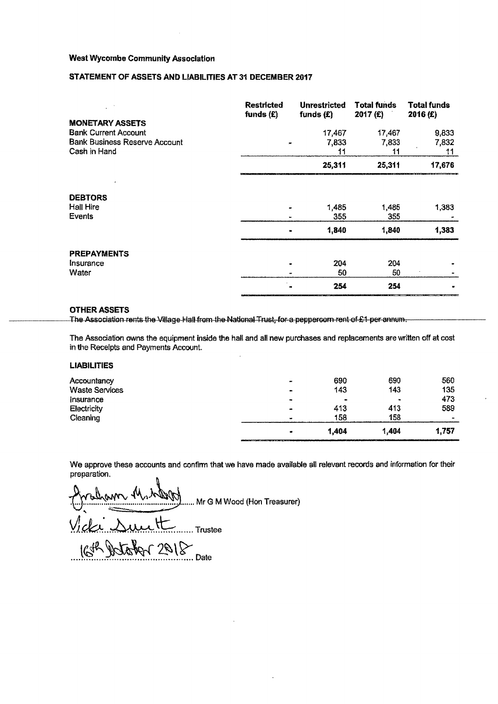# West Wycombe Community Association

## STATEMENT OF ASSETS AND LIABILITIES AT 31 DECEMBER 201?

| <b>MONETARY ASSETS</b>                               | <b>Restricted</b><br>funds $(E)$           | <b>Unrestricted</b><br>funds $(E)$ | <b>Total funds</b><br>2017 (£) | <b>Total funds</b><br>2016 (£) |
|------------------------------------------------------|--------------------------------------------|------------------------------------|--------------------------------|--------------------------------|
| <b>Bank Current Account</b>                          |                                            | 17,467                             | 17,467                         | 9,833                          |
| <b>Bank Business Reserve Account</b><br>Cash in Hand | ×                                          | 7,833<br>11                        | 7,833<br>11                    | 7,832<br>11                    |
|                                                      |                                            | 25,311                             | 25,311                         | 17,676                         |
| <b>DEBTORS</b><br><b>Hall Hire</b><br>Events         | $\tilde{\phantom{a}}$                      | 1,485<br>355                       | 1,485<br>355                   | 1,383                          |
|                                                      |                                            | 1,840                              | 1,840                          | 1,383                          |
| <b>PREPAYMENTS</b>                                   |                                            |                                    |                                |                                |
| Insurance<br>Water                                   | $\blacksquare$<br>$\overline{\phantom{0}}$ | 204<br>50                          | 204<br>50                      |                                |
|                                                      |                                            | 254                                | 254                            |                                |

### OTHER ASSETS

The Association rents the Village-Hall from the National Trust, for a peppercorn rent of  $E_1$  per annum.

The Association owns the equipment inside the hall and all new purchases and replacements are written off at cost in the Receipts and Payments Account.

# LIABILITIES

| $\bullet$<br>413<br>158 | $\blacksquare$<br>413<br>158 | 473<br>589<br>$\bullet$ |
|-------------------------|------------------------------|-------------------------|
|                         |                              |                         |
|                         |                              |                         |
|                         |                              |                         |
| 143                     | 143                          | 135                     |
| 690                     | 690                          | 560                     |
|                         |                              |                         |

We approve these accounts and confirm that we have made available all relevant records and information for their preparation.

m ..... Mr G M Wood (Hon Treasurer<mark>)</mark>

... Trustee

effel 2018 Date